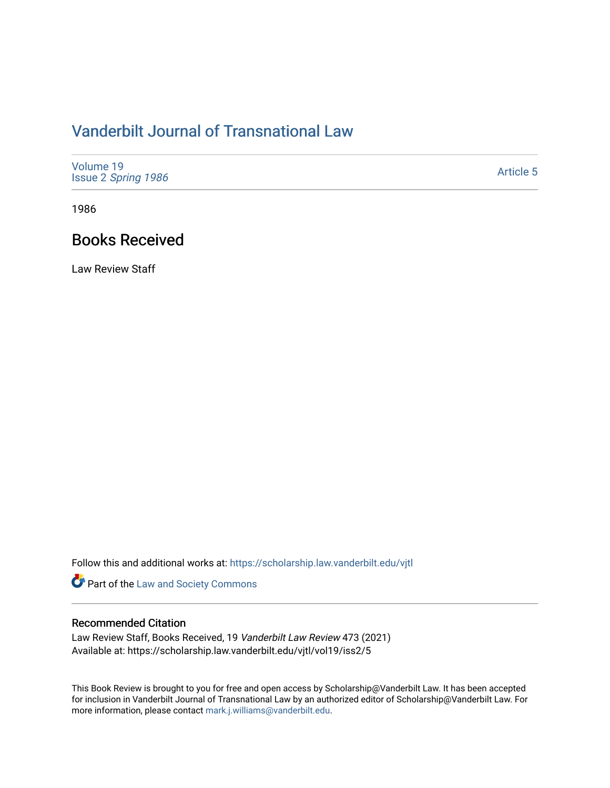## [Vanderbilt Journal of Transnational Law](https://scholarship.law.vanderbilt.edu/vjtl)

| Volume 19<br>Issue 2 Spring 1986 | <b>Article 5</b> |
|----------------------------------|------------------|
|----------------------------------|------------------|

1986

## Books Received

Law Review Staff

Follow this and additional works at: [https://scholarship.law.vanderbilt.edu/vjtl](https://scholarship.law.vanderbilt.edu/vjtl?utm_source=scholarship.law.vanderbilt.edu%2Fvjtl%2Fvol19%2Fiss2%2F5&utm_medium=PDF&utm_campaign=PDFCoverPages) 

**Part of the [Law and Society Commons](http://network.bepress.com/hgg/discipline/853?utm_source=scholarship.law.vanderbilt.edu%2Fvjtl%2Fvol19%2Fiss2%2F5&utm_medium=PDF&utm_campaign=PDFCoverPages)** 

## Recommended Citation

Law Review Staff, Books Received, 19 Vanderbilt Law Review 473 (2021) Available at: https://scholarship.law.vanderbilt.edu/vjtl/vol19/iss2/5

This Book Review is brought to you for free and open access by Scholarship@Vanderbilt Law. It has been accepted for inclusion in Vanderbilt Journal of Transnational Law by an authorized editor of Scholarship@Vanderbilt Law. For more information, please contact [mark.j.williams@vanderbilt.edu](mailto:mark.j.williams@vanderbilt.edu).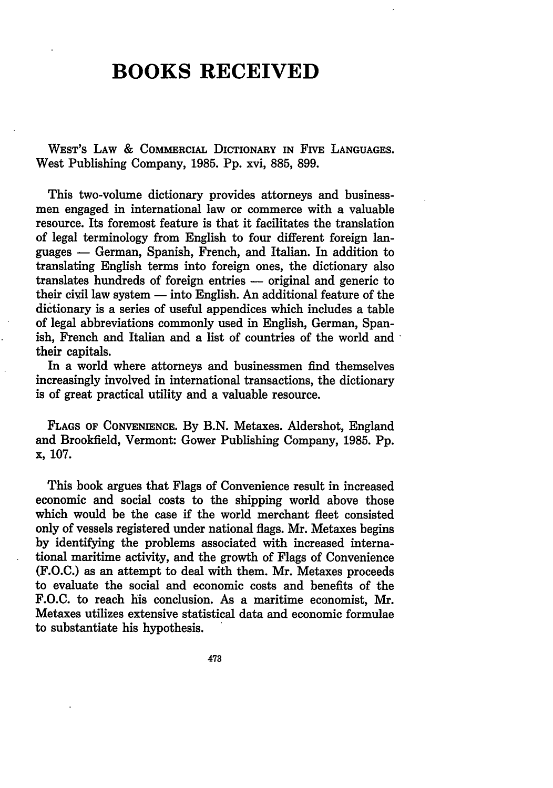## **BOOKS RECEIVED**

WEST'S LAW **&** COMMERCIAL DICTIONARY **IN** FIVE **LANGUAGES.** West Publishing Company, **1985. Pp.** xvi, **885, 899.**

This two-volume dictionary provides attorneys and businessmen engaged in international law or commerce with a valuable resource. Its foremost feature is that it facilitates the translation of legal terminology from English to four different foreign languages **-** German, Spanish, French, and Italian. In addition to translating English terms into foreign ones, the dictionary also translates hundreds of foreign entries **-** original and generic to their civil law system **-** into English. An additional feature of the dictionary is a series of useful appendices which includes a table of legal abbreviations commonly used in English, German, Spanish, French and Italian and a list of countries of the world and their capitals.

In a world where attorneys and businessmen find themselves increasingly involved in international transactions, the dictionary is of great practical utility and a valuable resource.

**FLAGS** OF **CONVENIENCE. By B.N.** Metaxes. Aldershot, England and Brookfield, Vermont: Gower Publishing Company, **1985. Pp.** x, **107.**

This book argues that Flags of Convenience result in increased economic and social costs to the shipping world above those which would be the case if the world merchant fleet consisted only of vessels registered under national flags. Mr. Metaxes begins **by** identifying the problems associated with increased international maritime activity, and the growth of Flags of Convenience **(F.O.C.)** as an attempt to deal with them. Mr. Metaxes proceeds to evaluate the social and economic costs and benefits of the **F.O.C.** to reach his conclusion. As a maritime economist, Mr. Metaxes utilizes extensive statistical data and economic formulae to substantiate his hypothesis.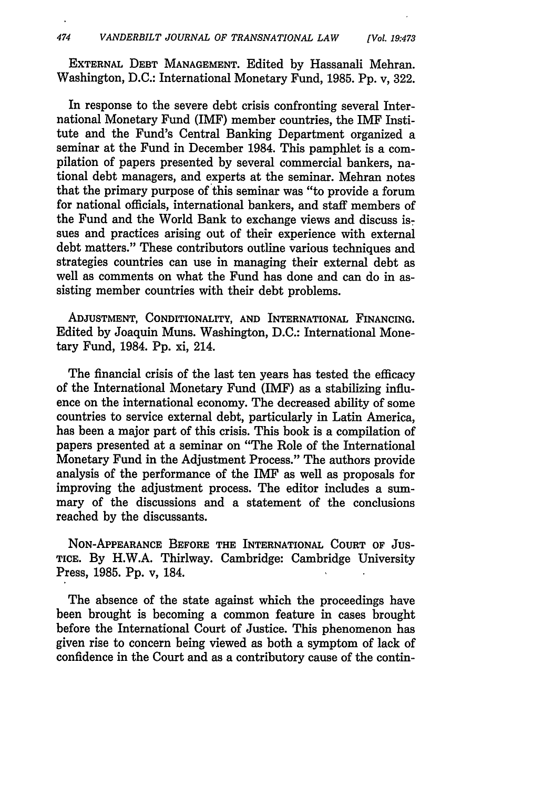EXTERNAL **DEBT MANAGEMENT.** Edited **by** Hassanali Mehran. Washington, **D.C.:** International Monetary Fund, **1985. Pp.** v, **322.**

In response to the severe debt crisis confronting several International Monetary Fund (IMF) member countries, the IMF Institute and the Fund's Central Banking Department organized a seminar at the Fund in December 1984. This pamphlet is a compilation of papers presented **by** several commercial bankers, national debt managers, and experts at the seminar. Mehran notes that the primary purpose of this seminar was "to provide a forum for national officials, international bankers, and staff members of the Fund and the World Bank to exchange views and discuss issues and practices arising out of their experience with external debt matters." These contributors outline various techniques and strategies countries can use in managing their external debt as well as comments on what the Fund has done and can do in assisting member countries with their debt problems.

**ADJUSTMENT,** CONDITIONALITY, **AND** INTERNATIONAL **FINANCING.** Edited by Joaquin Muns. Washington, D.C.: International Monetary Fund, 1984. Pp. xi, 214.

The financial crisis of the last ten years has tested the efficacy of the International Monetary Fund (IMF) as a stabilizing influence on the international economy. The decreased ability of some countries to service external debt, particularly in Latin America, has been a major part of this crisis. This book is a compilation of papers presented at a seminar on "The Role of the International Monetary Fund in the Adjustment Process." The authors provide analysis of the performance of the IMF as well as proposals for improving the adjustment process. The editor includes a summary of the discussions and a statement of the conclusions reached by the discussants.

**NON-APPEARANCE** BEFORE THE INTERNATIONAL **COURT** OF JUS-**TICE.** By H.W.A. Thirlway. Cambridge: Cambridge University Press, 1985. Pp. v, 184.

The absence of the state against which the proceedings have been brought is becoming a common feature in cases brought before the International Court of Justice. This phenomenon has given rise to concern being viewed as both a symptom of lack of confidence in the Court and as a contributory cause of the contin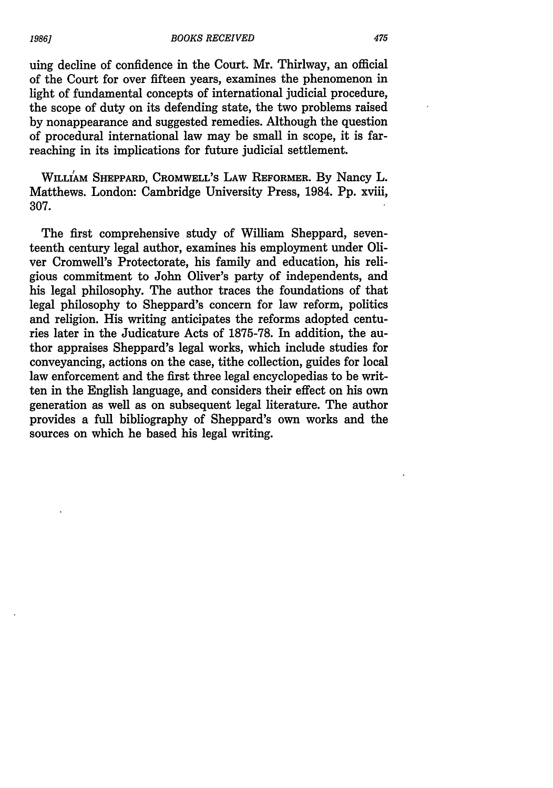uing decline of confidence in the Court. Mr. Thirlway, an official of the Court for over fifteen years, examines the phenomenon in light of fundamental concepts of international judicial procedure, the scope of duty on its defending state, the two problems raised by nonappearance and suggested remedies. Although the question of procedural international law may be small in scope, it is farreaching in its implications for future judicial settlement.

**WILLIAM SHEPPARD, CROMWELL'S LAW REFORMER.** By Nancy L. Matthews. London: Cambridge University Press, 1984. **Pp.** xviii, **307.**

The first comprehensive study of William Sheppard, seventeenth century legal author, examines his employment under Oliver Cromwell's Protectorate, his family and education, his religious commitment to John Oliver's party of independents, and his legal philosophy. The author traces the foundations of that legal philosophy to Sheppard's concern for law reform, politics and religion. His writing anticipates the reforms adopted centuries later in the Judicature Acts of **1875-78.** In addition, the author appraises Sheppard's legal works, which include studies for conveyancing, actions on the case, tithe collection, guides for local law enforcement and the first three legal encyclopedias to be written in the English language, and considers their effect on his own generation as well as on subsequent legal literature. The author provides a full bibliography of Sheppard's own works and the sources on which he based his legal writing.

*19861*